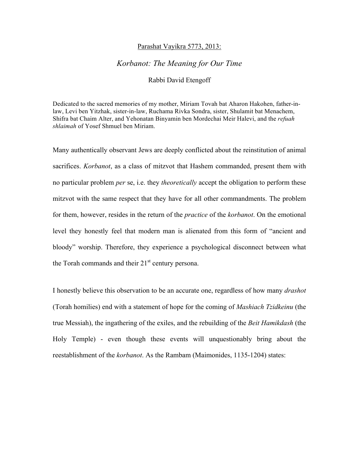## Parashat Vayikra 5773, 2013:

## *Korbanot: The Meaning for Our Time*

## Rabbi David Etengoff

Dedicated to the sacred memories of my mother, Miriam Tovah bat Aharon Hakohen, father-inlaw, Levi ben Yitzhak, sister-in-law, Ruchama Rivka Sondra, sister, Shulamit bat Menachem, Shifra bat Chaim Alter, and Yehonatan Binyamin ben Mordechai Meir Halevi, and the *refuah shlaimah* of Yosef Shmuel ben Miriam.

Many authentically observant Jews are deeply conflicted about the reinstitution of animal sacrifices. *Korbanot*, as a class of mitzvot that Hashem commanded, present them with no particular problem *per* se, i.e. they *theoretically* accept the obligation to perform these mitzvot with the same respect that they have for all other commandments. The problem for them, however, resides in the return of the *practice* of the *korbanot*. On the emotional level they honestly feel that modern man is alienated from this form of "ancient and bloody" worship. Therefore, they experience a psychological disconnect between what the Torah commands and their  $21<sup>st</sup>$  century persona.

I honestly believe this observation to be an accurate one, regardless of how many *drashot*  (Torah homilies) end with a statement of hope for the coming of *Mashiach Tzidkeinu* (the true Messiah), the ingathering of the exiles, and the rebuilding of the *Beit Hamikdash* (the Holy Temple) - even though these events will unquestionably bring about the reestablishment of the *korbanot*. As the Rambam (Maimonides, 1135-1204) states: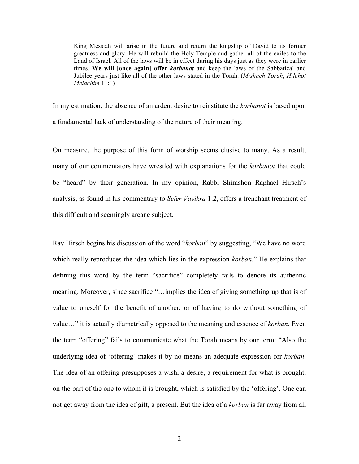King Messiah will arise in the future and return the kingship of David to its former greatness and glory. He will rebuild the Holy Temple and gather all of the exiles to the Land of Israel. All of the laws will be in effect during his days just as they were in earlier times. **We will [once again] offer** *korbanot* and keep the laws of the Sabbatical and Jubilee years just like all of the other laws stated in the Torah. (*Mishneh Torah*, *Hilchot Melachim* 11:1)

In my estimation, the absence of an ardent desire to reinstitute the *korbanot* is based upon a fundamental lack of understanding of the nature of their meaning.

On measure, the purpose of this form of worship seems elusive to many. As a result, many of our commentators have wrestled with explanations for the *korbanot* that could be "heard" by their generation. In my opinion, Rabbi Shimshon Raphael Hirsch's analysis, as found in his commentary to *Sefer Vayikra* 1:2, offers a trenchant treatment of this difficult and seemingly arcane subject.

Rav Hirsch begins his discussion of the word "*korban*" by suggesting, "We have no word which really reproduces the idea which lies in the expression *korban*." He explains that defining this word by the term "sacrifice" completely fails to denote its authentic meaning. Moreover, since sacrifice "…implies the idea of giving something up that is of value to oneself for the benefit of another, or of having to do without something of value…" it is actually diametrically opposed to the meaning and essence of *korban*. Even the term "offering" fails to communicate what the Torah means by our term: "Also the underlying idea of 'offering' makes it by no means an adequate expression for *korban*. The idea of an offering presupposes a wish, a desire, a requirement for what is brought, on the part of the one to whom it is brought, which is satisfied by the 'offering'. One can not get away from the idea of gift, a present. But the idea of a *korban* is far away from all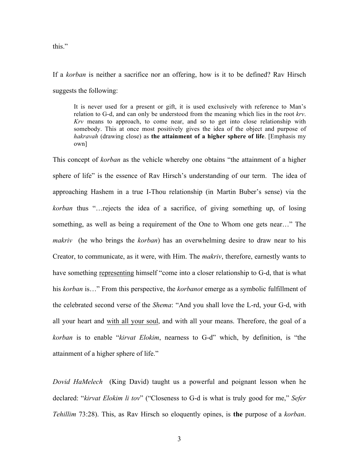this."

If a *korban* is neither a sacrifice nor an offering, how is it to be defined? Rav Hirsch suggests the following:

It is never used for a present or gift, it is used exclusively with reference to Man's relation to G-d, and can only be understood from the meaning which lies in the root *krv*. *Krv* means to approach, to come near, and so to get into close relationship with somebody. This at once most positively gives the idea of the object and purpose of *hakravah* (drawing close) as **the attainment of a higher sphere of life**. [Emphasis my own]

This concept of *korban* as the vehicle whereby one obtains "the attainment of a higher sphere of life" is the essence of Rav Hirsch's understanding of our term. The idea of approaching Hashem in a true I-Thou relationship (in Martin Buber's sense) via the *korban* thus "…rejects the idea of a sacrifice, of giving something up, of losing something, as well as being a requirement of the One to Whom one gets near…" The *makriv* (he who brings the *korban*) has an overwhelming desire to draw near to his Creator, to communicate, as it were, with Him. The *makriv*, therefore, earnestly wants to have something representing himself "come into a closer relationship to G-d, that is what his *korban* is…" From this perspective, the *korbanot* emerge as a symbolic fulfillment of the celebrated second verse of the *Shema*: "And you shall love the L-rd, your G-d, with all your heart and with all your soul, and with all your means. Therefore, the goal of a *korban* is to enable "*kirvat Elokim*, nearness to G-d" which, by definition, is "the attainment of a higher sphere of life."

*Dovid HaMelech* (King David) taught us a powerful and poignant lesson when he declared: "*kirvat Elokim li tov*" ("Closeness to G-d is what is truly good for me," *Sefer Tehillim* 73:28). This, as Rav Hirsch so eloquently opines, is **the** purpose of a *korban*.